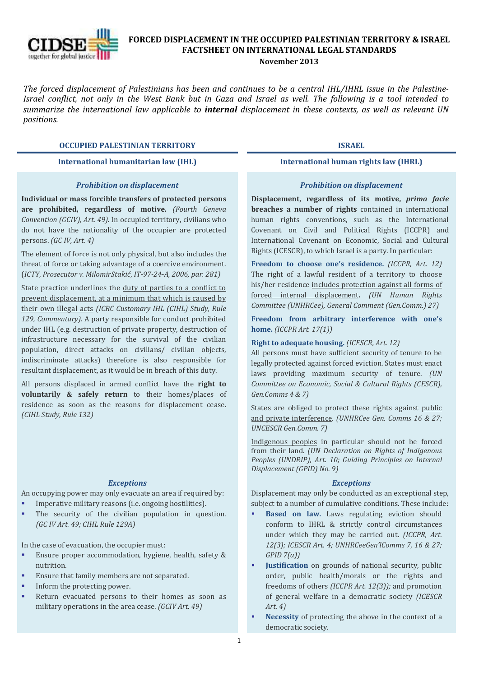

# **FORCED DISPLACEMENT IN THE OCCUPIED PALESTINIAN TERRITORY & ISRAEL FACTSHEET ON INTERNATIONAL LEGAL STANDARDS**

#### **November 2013**

*The forced displacement of Palestinians has been and continues to be a central IHL/IHRL issue in the Palestine-Israel conflict, not only in the West Bank but in Gaza and Israel as well. The following is a tool intended to summarize the international law applicable to internal displacement in these contexts, as well as relevant UN positions.*

# **OCCUPIED PALESTINIAN TERRITORY ISRAEL**

#### *Prohibition on displacement*

**Individual or mass forcible transfers of protected persons are prohibited, regardless of motive.** *(Fourth Geneva Convention (GCIV), Art. 49).* In occupied territory, civilians who do not have the nationality of the occupier are protected persons. *(GC IV, Art. 4)*

The element of force is not only physical, but also includes the threat of force or taking advantage of a coercive environment. (*ICTY*, *Prosecutor v. MilomirStakić*, *IT-97-24-A, 2006, par. 281)*

State practice underlines the duty of parties to a conflict to prevent displacement, at a minimum that which is caused by their own illegal acts *(ICRC Customary IHL (CIHL) Study, Rule 129, Commentary)*. A party responsible for conduct prohibited under IHL (e.g. destruction of private property, destruction of infrastructure necessary for the survival of the civilian population, direct attacks on civilians/ civilian objects, indiscriminate attacks) therefore is also responsible for resultant displacement, as it would be in breach of this duty.

All persons displaced in armed conflict have the **right to voluntarily & safely return** to their homes/places of residence as soon as the reasons for displacement cease. *(CIHL Study, Rule 132)*

# *Exceptions*

An occupying power may only evacuate an area if required by: Imperative military reasons (i.e. ongoing hostilities).

 The security of the civilian population in question. *(GC IV Art. 49; CIHL Rule 129A)*

In the case of evacuation, the occupier must:

- Ensure proper accommodation, hygiene, health, safety & nutrition.
- Ensure that family members are not separated.
- Inform the protecting power.
- **Return evacuated persons to their homes as soon as** military operations in the area cease. *(GCIV Art. 49)*

### **International humanitarian law (IHL) International human rights law (IHRL)**

#### *Prohibition on displacement*

**Displacement, regardless of its motive,** *prima facie* **breaches a number of rights** contained in international human rights conventions, such as the International Covenant on Civil and Political Rights (ICCPR) and International Covenant on Economic, Social and Cultural Rights (ICESCR), to which Israel is a party. In particular:

**Freedom to choose one's residence.** *(ICCPR, Art. 12)* The right of a lawful resident of a territory to choose his/her residence includes protection against all forms of forced internal displacement**.** *(UN Human Rights Committee (UNHRCee), General Comment (Gen.Comm.) 27)*

**Freedom from arbitrary interference with one's home.** *(ICCPR Art. 17(1))* 

# **Right to adequate housing.** *(ICESCR, Art. 12)*

All persons must have sufficient security of tenure to be legally protected against forced eviction. States must enact laws providing maximum security of tenure. *(UN Committee on Economic, Social & Cultural Rights (CESCR), Gen.Comms 4 & 7)*

States are obliged to protect these rights against public and private interference*. (UNHRCee Gen. Comms 16 & 27; UNCESCR Gen.Comm. 7)*

Indigenous peoples in particular should not be forced from their land. *(UN Declaration on Rights of Indigenous Peoples (UNDRIP), Art. 10; Guiding Principles on Internal Displacement (GPID) No. 9)*

#### *Exceptions*

Displacement may only be conducted as an exceptional step, subject to a number of cumulative conditions. These include:

- **Based on law.** Laws regulating eviction should conform to IHRL & strictly control circumstances under which they may be carried out. *(ICCPR, Art. 12(3); ICESCR Art. 4; UNHRCeeGen'lComms 7, 16 & 27; GPID 7(a))*
- **Justification** on grounds of national security, public order, public health/morals or the rights and freedoms of others *(ICCPR Art. 12(3));* and promotion of general welfare in a democratic society *(ICESCR Art. 4)*
- **Necessity** of protecting the above in the context of a democratic society.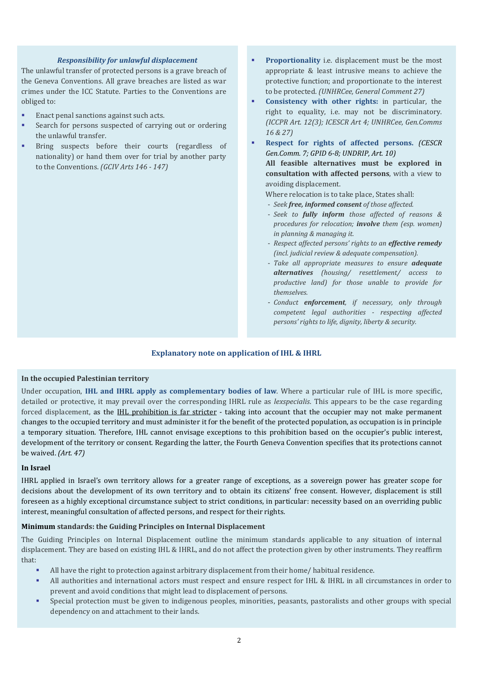# *Responsibility for unlawful displacement*

The unlawful transfer of protected persons is a grave breach of the Geneva Conventions. All grave breaches are listed as war crimes under the ICC Statute. Parties to the Conventions are obliged to:

- **Enact penal sanctions against such acts.**
- Search for persons suspected of carrying out or ordering the unlawful transfer.
- **Bring suspects before their courts (regardless of** nationality) or hand them over for trial by another party to the Conventions. *(GCIV Arts 146 - 147)*
- **Proportionality** i.e. displacement must be the most appropriate & least intrusive means to achieve the protective function; and proportionate to the interest to be protected. *(UNHRCee, General Comment 27)*
- **Consistency with other rights:** in particular, the right to equality, i.e. may not be discriminatory. *(ICCPR Art. 12(3); ICESCR Art 4; UNHRCee, Gen.Comms 16 & 27)*
- **Respect for rights of affected persons.** *(CESCR Gen.Comm. 7; GPID 6-8; UNDRIP, Art. 10)* **All feasible alternatives must be explored in consultation with affected persons**, with a view to avoiding displacement.
	- Where relocation is to take place, States shall:
	- *Seek free, informed consent of those affected.*
	- *Seek to fully inform those affected of reasons & procedures for relocation; involve them (esp. women) in planning & managing it.*
	- *Respect affected persons' rights to an effective remedy (incl. judicial review & adequate compensation).*
	- *Take all appropriate measures to ensure adequate alternatives (housing/ resettlement/ access to productive land) for those unable to provide for themselves.*
	- *Conduct enforcement, if necessary, only through competent legal authorities - respecting affected persons' rights to life, dignity, liberty & security.*

# **Explanatory note on application of IHL & IHRL**

# **In the occupied Palestinian territory**

Under occupation, **IHL and IHRL apply as complementary bodies of law**. Where a particular rule of IHL is more specific, detailed or protective, it may prevail over the corresponding IHRL rule as *lexspecialis*. This appears to be the case regarding forced displacement, as the **IHL prohibition is far stricter** - taking into account that the occupier may not make permanent changes to the occupied territory and must administer it for the benefit of the protected population, as occupation is in principle a temporary situation. Therefore, IHL cannot envisage exceptions to this prohibition based on the occupier's public interest, development of the territory or consent. Regarding the latter, the Fourth Geneva Convention specifies that its protections cannot be waived. *(Art. 47)*

#### **In Israel**

IHRL applied in Israel's own territory allows for a greater range of exceptions, as a sovereign power has greater scope for decisions about the development of its own territory and to obtain its citizens' free consent. However, displacement is still foreseen as a highly exceptional circumstance subject to strict conditions, in particular: necessity based on an overriding public interest, meaningful consultation of affected persons, and respect for their rights.

# **Minimum standards: the Guiding Principles on Internal Displacement**

The Guiding Principles on Internal Displacement outline the minimum standards applicable to any situation of internal displacement. They are based on existing IHL & IHRL, and do not affect the protection given by other instruments. They reaffirm that:

- All have the right to protection against arbitrary displacement from their home/ habitual residence.
- All authorities and international actors must respect and ensure respect for IHL & IHRL in all circumstances in order to prevent and avoid conditions that might lead to displacement of persons.
- Special protection must be given to indigenous peoples, minorities, peasants, pastoralists and other groups with special dependency on and attachment to their lands.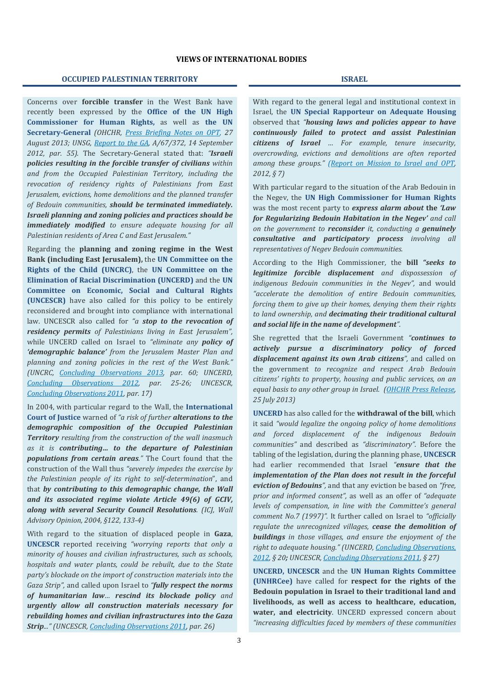### **VIEWS OF INTERNATIONAL BODIES**

#### **OCCUPIED PALESTINIAN TERRITORY ISRAEL**

Concerns over **forcible transfer** in the West Bank have recently been expressed by the **Office of the UN High Commissioner for Human Rights,** as well as **the UN Secretary-General** *(OHCHR, [Press Briefing Notes on OPT,](http://www.ohchr.org/EN/NewsEvents/Pages/DisplayNews.aspx?NewsID=13662&LangID=E) 27 August 2013; UNSG, [Report to the GA,](http://daccess-dds-ny.un.org/doc/UNDOC/GEN/N12/510/30/PDF/N1251030.pdf?OpenElement) A/67/372, 14 September 2012, par. 55).* The Secretary-General stated that: *"Israeli policies resulting in the forcible transfer of civilians within and from the Occupied Palestinian Territory, including the revocation of residency rights of Palestinians from East Jerusalem, evictions, home demolitions and the planned transfer of Bedouin communities, should be terminated immediately. Israeli planning and zoning policies and practices should be immediately modified to ensure adequate housing for all Palestinian residents of Area C and East Jerusalem."* 

Regarding the **planning and zoning regime in the West Bank (including East Jerusalem),** the **UN Committee on the Rights of the Child (UNCRC)**, the **UN Committee on the Elimination of Racial Discrimination (UNCERD)** and the **UN Committee on Economic, Social and Cultural Rights (UNCESCR)** have also called for this policy to be entirely reconsidered and brought into compliance with international law. UNCESCR also called for *"a stop to the revocation of residency permits of Palestinians living in East Jerusalem",* while UNCERD called on Israel to *"eliminate any policy of 'demographic balance' from the Jerusalem Master Plan and planning and zoning policies in the rest of the West Bank." (UNCRC, [Concluding Observations 2013,](http://tbinternet.ohchr.org/_layouts/treatybodyexternal/Download.aspx?symbolno=INT%2fCRC%2fCOC%2fISR%2f13827&Lang=en) par. 60; UNCERD, [Concluding Observations 2012,](http://tbinternet.ohchr.org/_layouts/treatybodyexternal/Download.aspx?symbolno=CERD%2fC%2fISR%2fCO%2f14-16&Lang=en) par. 25-26; UNCESCR, [Concluding Observations 2011,](http://tbinternet.ohchr.org/_layouts/treatybodyexternal/Download.aspx?symbolno=E%2fC.12%2fISR%2fCO%2f3&Lang=en) par. 17)*

In 2004, with particular regard to the Wall, the **International Court of Justice** warned of *"a risk of further alterations to the demographic composition of the Occupied Palestinian Territory resulting from the construction of the wall inasmuch as it is contributing… to the departure of Palestinian populations from certain areas."* The Court found that the construction of the Wall thus *"severely impedes the exercise by the Palestinian people of its right to self-determination*", and that *by contributing to this demographic change, the Wall and its associated regime violate Article 49(6) of GCIV, along with several Security Council Resolutions. (ICJ, Wall Advisory Opinion, 2004, §122, 133-4)* 

With regard to the situation of displaced people in **Gaza**, **UNCESCR** reported receiving *"worrying reports that only a minority of houses and civilian infrastructures, such as schools, hospitals and water plants, could be rebuilt, due to the State party's blockade on the import of construction materials into the Gaza Strip",* and called upon Israel to *"fully respect the norms of humanitarian law… rescind its blockade policy and urgently allow all construction materials necessary for rebuilding homes and civilian infrastructures into the Gaza Strip..." (UNCESCR[, Concluding Observations 2011,](http://tbinternet.ohchr.org/_layouts/treatybodyexternal/Download.aspx?symbolno=E%2fC.12%2fISR%2fCO%2f3&Lang=en) par. 26)*

With regard to the general legal and institutional context in Israel, the **UN Special Rapporteur on Adequate Housing** observed that *"housing laws and policies appear to have continuously failed to protect and assist Palestinian citizens of Israel … For example, tenure insecurity, overcrowding, evictions and demolitions are often reported among these groups." [\(Report on Mission to Israel and OPT,](http://www.ohchr.org/Documents/HRBodies/HRCouncil/RegularSession/Session22/A-HRC-22-46_Add1_en.pdf)  2012, § 7)*

With particular regard to the situation of the Arab Bedouin in the Negev, the **UN High Commissioner for Human Rights**  was the most recent party to *express alarm about* **the** *'Law for Regularizing Bedouin Habitation in the Negev' and call on the government to reconsider it, conducting a genuinely consultative and participatory process involving all representatives of Negev Bedouin communities.* 

According to the High Commissioner*,* the **bill** *"seeks to legitimize forcible displacement and dispossession of indigenous Bedouin communities in the Negev",* and would *"accelerate the demolition of entire Bedouin communities, forcing them to give up their homes, denying them their rights to land ownership, and decimating their traditional cultural and social life in the name of development".* 

She regretted that the Israeli Government *"continues to actively pursue a discriminatory policy of forced displacement against its own Arab citizens",* and called on the government *to recognize and respect Arab Bedouin citizens' rights to property, housing and public services, on an equal basis to any other group in Israel. [\(OHCHR Press Release,](http://www.ohchr.org/EN/NewsEvents/Pages/DisplayNews.aspx?NewsID=13577&LangID=E)  25 July 2013)*

**UNCERD** has also called for the **withdrawal of the bill**, which it said *"would legalize the ongoing policy of home demolitions and forced displacement of the indigenous Bedouin communities"* and described as *"discriminatory".* Before the tabling of the legislation, during the planning phase, **UNCESCR** had earlier recommended that Israel *"ensure that the implementation of the Plan does not result in the forceful eviction of Bedouins",* and that any eviction be based on *"free, prior and informed consent",* as well as an offer of *"adequate levels of compensation, in line with the Committee's general comment No.7 (1997)".* It further called on Israel to *"officially regulate the unrecognized villages, cease the demolition of buildings in those villages, and ensure the enjoyment of the right to adequate housing." (UNCERD, [Concluding Observations,](http://tbinternet.ohchr.org/_layouts/treatybodyexternal/Download.aspx?symbolno=CERD%2fC%2fISR%2fCO%2f14-16&Lang=en)  [2012,](http://tbinternet.ohchr.org/_layouts/treatybodyexternal/Download.aspx?symbolno=CERD%2fC%2fISR%2fCO%2f14-16&Lang=en) § 20; UNCESCR, [Concluding Observations 2011,](http://tbinternet.ohchr.org/_layouts/treatybodyexternal/Download.aspx?symbolno=E%2fC.12%2fISR%2fCO%2f3&Lang=en) § 27)*

**UNCERD, UNCESCR** and the **UN Human Rights Committee (UNHRCee)** have called for **respect for the rights of the Bedouin population in Israel to their traditional land and livelihoods, as well as access to healthcare, education, water, and electricity**. UNCERD expressed concern about *"increasing difficulties faced by members of these communities*